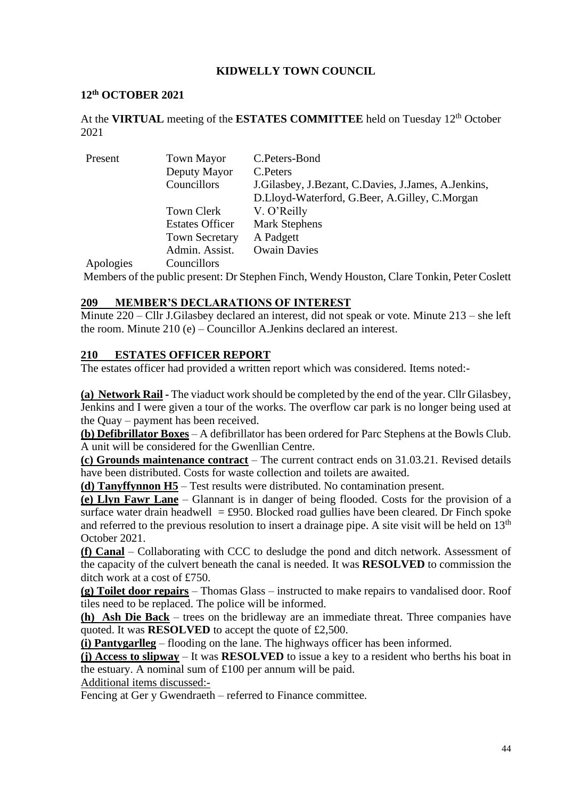### **KIDWELLY TOWN COUNCIL**

#### **12 th OCTOBER 2021**

At the VIRTUAL meeting of the ESTATES COMMITTEE held on Tuesday 12<sup>th</sup> October 2021

| Present               | <b>Town Mayor</b>           | C.Peters-Bond                                            |
|-----------------------|-----------------------------|----------------------------------------------------------|
|                       | Deputy Mayor                | C. Peters                                                |
|                       | Councillors                 | J. Gilasbey, J. Bezant, C. Davies, J. James, A. Jenkins, |
|                       |                             | D.Lloyd-Waterford, G.Beer, A.Gilley, C.Morgan            |
|                       | Town Clerk                  | V. O'Reilly                                              |
|                       | <b>Estates Officer</b>      | <b>Mark Stephens</b>                                     |
|                       | <b>Town Secretary</b>       | A Padgett                                                |
|                       | Admin. Assist.              | <b>Owain Davies</b>                                      |
| $\lambda$ 1 $\lambda$ | $\sim$ $\sim$ $\sim$ $\sim$ |                                                          |

Apologies Councillors

Members of the public present: Dr Stephen Finch, Wendy Houston, Clare Tonkin, Peter Coslett

#### **209 MEMBER'S DECLARATIONS OF INTEREST**

Minute 220 – Cllr J.Gilasbey declared an interest, did not speak or vote. Minute 213 – she left the room. Minute 210 (e) – Councillor A.Jenkins declared an interest.

#### **210 ESTATES OFFICER REPORT**

The estates officer had provided a written report which was considered. Items noted:-

**(a) Network Rail -** The viaduct work should be completed by the end of the year. Cllr Gilasbey, Jenkins and I were given a tour of the works. The overflow car park is no longer being used at the Quay – payment has been received.

**(b) Defibrillator Boxes** – A defibrillator has been ordered for Parc Stephens at the Bowls Club. A unit will be considered for the Gwenllian Centre.

**(c) Grounds maintenance contract** – The current contract ends on 31.03.21. Revised details have been distributed. Costs for waste collection and toilets are awaited.

**(d) Tanyffynnon H5** – Test results were distributed. No contamination present.

**(e) Llyn Fawr Lane** – Glannant is in danger of being flooded. Costs for the provision of a surface water drain headwell = £950. Blocked road gullies have been cleared. Dr Finch spoke and referred to the previous resolution to insert a drainage pipe. A site visit will be held on 13<sup>th</sup> October 2021.

**(f) Canal** – Collaborating with CCC to desludge the pond and ditch network. Assessment of the capacity of the culvert beneath the canal is needed. It was **RESOLVED** to commission the ditch work at a cost of £750.

**(g) Toilet door repairs** – Thomas Glass – instructed to make repairs to vandalised door. Roof tiles need to be replaced. The police will be informed.

**(h) Ash Die Back** – trees on the bridleway are an immediate threat. Three companies have quoted. It was **RESOLVED** to accept the quote of £2,500.

**(i) Pantygarlleg** – flooding on the lane. The highways officer has been informed.

**(j) Access to slipway** – It was **RESOLVED** to issue a key to a resident who berths his boat in the estuary. A nominal sum of £100 per annum will be paid.

Additional items discussed:-

Fencing at Ger y Gwendraeth – referred to Finance committee.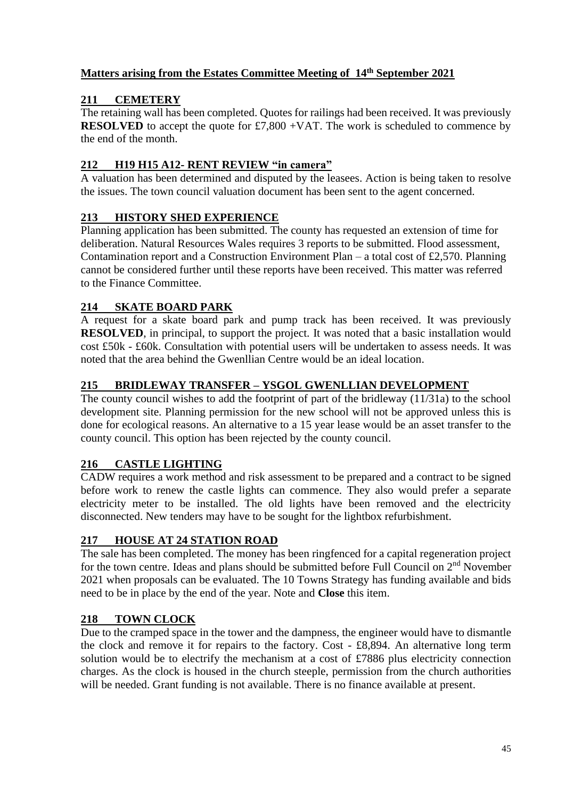## **Matters arising from the Estates Committee Meeting of 14 th September 2021**

# **211 CEMETERY**

The retaining wall has been completed. Quotes for railings had been received. It was previously **RESOLVED** to accept the quote for £7,800 +VAT. The work is scheduled to commence by the end of the month.

## **212 H19 H15 A12- RENT REVIEW "in camera"**

A valuation has been determined and disputed by the leasees. Action is being taken to resolve the issues. The town council valuation document has been sent to the agent concerned.

# **213 HISTORY SHED EXPERIENCE**

Planning application has been submitted. The county has requested an extension of time for deliberation. Natural Resources Wales requires 3 reports to be submitted. Flood assessment, Contamination report and a Construction Environment Plan – a total cost of £2,570. Planning cannot be considered further until these reports have been received. This matter was referred to the Finance Committee.

# **214 SKATE BOARD PARK**

A request for a skate board park and pump track has been received. It was previously **RESOLVED**, in principal, to support the project. It was noted that a basic installation would cost £50k - £60k. Consultation with potential users will be undertaken to assess needs. It was noted that the area behind the Gwenllian Centre would be an ideal location.

# **215 BRIDLEWAY TRANSFER – YSGOL GWENLLIAN DEVELOPMENT**

The county council wishes to add the footprint of part of the bridleway (11/31a) to the school development site. Planning permission for the new school will not be approved unless this is done for ecological reasons. An alternative to a 15 year lease would be an asset transfer to the county council. This option has been rejected by the county council.

## **216 CASTLE LIGHTING**

CADW requires a work method and risk assessment to be prepared and a contract to be signed before work to renew the castle lights can commence. They also would prefer a separate electricity meter to be installed. The old lights have been removed and the electricity disconnected. New tenders may have to be sought for the lightbox refurbishment.

## **217 HOUSE AT 24 STATION ROAD**

The sale has been completed. The money has been ringfenced for a capital regeneration project for the town centre. Ideas and plans should be submitted before Full Council on  $2<sup>nd</sup>$  November 2021 when proposals can be evaluated. The 10 Towns Strategy has funding available and bids need to be in place by the end of the year. Note and **Close** this item.

## **218 TOWN CLOCK**

Due to the cramped space in the tower and the dampness, the engineer would have to dismantle the clock and remove it for repairs to the factory. Cost - £8,894. An alternative long term solution would be to electrify the mechanism at a cost of £7886 plus electricity connection charges. As the clock is housed in the church steeple, permission from the church authorities will be needed. Grant funding is not available. There is no finance available at present.